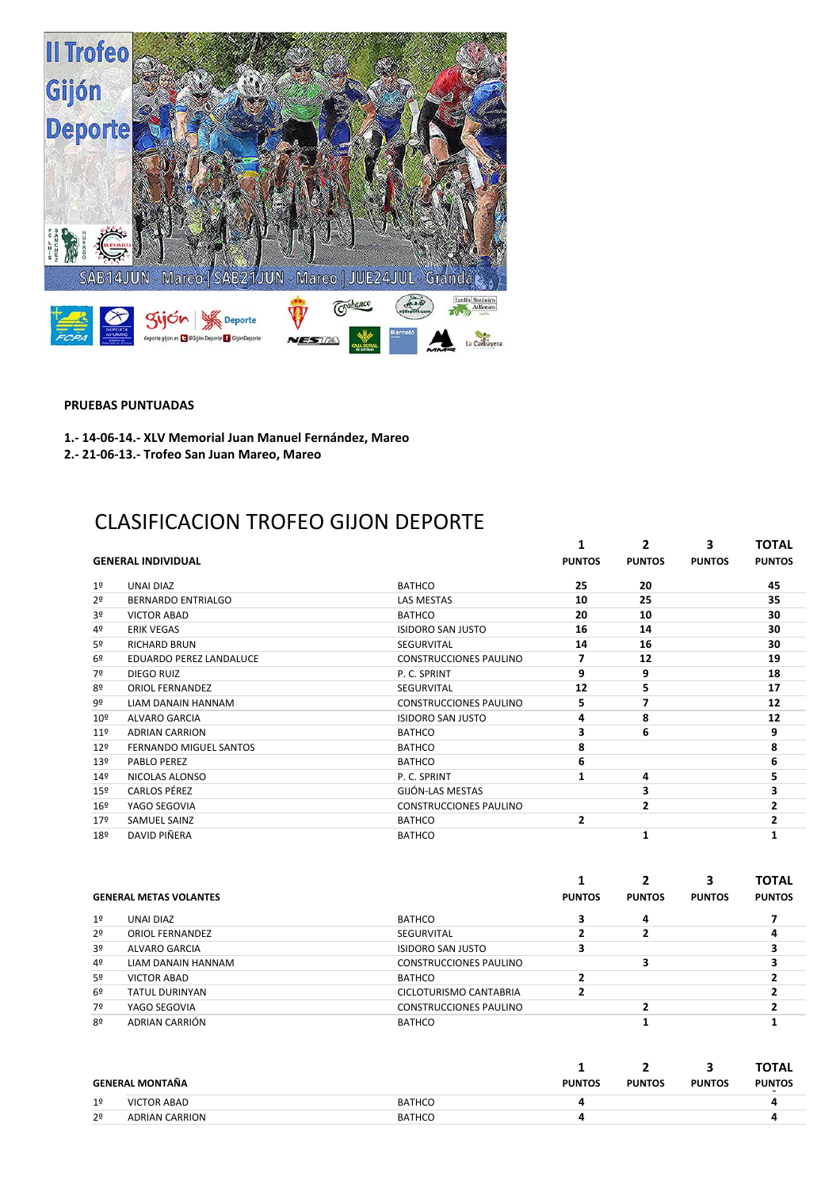

**PRUEBAS PUNTUADAS** 

1.- 14-06-14.- XLV Memorial Juan Manuel Fernández, Mareo

2.- 21-06-13.- Trofeo San Juan Mareo, Mareo

## CLASIFICACION TROFEO GIJON DEPORTE

|                 |                               |                               | 1             | 2              | 3             | TOTAL         |
|-----------------|-------------------------------|-------------------------------|---------------|----------------|---------------|---------------|
|                 | <b>GENERAL INDIVIDUAL</b>     |                               | <b>PUNTOS</b> | <b>PUNTOS</b>  | <b>PUNTOS</b> | <b>PUNTOS</b> |
| 1 <sup>°</sup>  | <b>UNAI DIAZ</b>              | <b>BATHCO</b>                 | 25            | 20             |               | 45            |
| 2 <sup>o</sup>  | <b>BERNARDO ENTRIALGO</b>     | <b>LAS MESTAS</b>             | 10            | 25             |               | 35            |
| 3 <sup>o</sup>  | <b>VICTOR ABAD</b>            | <b>BATHCO</b>                 | 20            | 10             |               | 30            |
| 4 <sup>°</sup>  | <b>ERIK VEGAS</b>             | <b>ISIDORO SAN JUSTO</b>      | 16            | 14             |               | 30            |
| 5º              | <b>RICHARD BRUN</b>           | <b>SEGURVITAL</b>             | 14            | 16             |               | 30            |
| 6º              | EDUARDO PEREZ LANDALUCE       | <b>CONSTRUCCIONES PAULINO</b> | 7             | 12             |               | 19            |
| 7º              | DIEGO RUIZ                    | P.C. SPRINT                   | 9             | 9              |               | 18            |
| 8º              | <b>ORIOL FERNANDEZ</b>        | <b>SEGURVITAL</b>             | 12            | 5              |               | 17            |
| 9º              | LIAM DANAIN HANNAM            | <b>CONSTRUCCIONES PAULINO</b> | 5             | 7              |               | 12            |
| $10^{\circ}$    | <b>ALVARO GARCIA</b>          | <b>ISIDORO SAN JUSTO</b>      | 4             | 8              |               | 12            |
| 11 <sup>°</sup> | <b>ADRIAN CARRION</b>         | <b>BATHCO</b>                 | 3             | 6              |               | 9             |
| 12 <sup>°</sup> | <b>FERNANDO MIGUEL SANTOS</b> | <b>BATHCO</b>                 | 8             |                |               | 8             |
| 13 <sup>°</sup> | <b>PABLO PEREZ</b>            | <b>BATHCO</b>                 | 6             |                |               | 6             |
| 14º             | NICOLAS ALONSO                | P.C. SPRINT                   | 1             | 4              |               | 5             |
| 15º             | <b>CARLOS PÉREZ</b>           | GIJÓN-LAS MESTAS              |               | 3              |               | 3             |
| $16^{\circ}$    | YAGO SEGOVIA                  | <b>CONSTRUCCIONES PAULINO</b> |               | $\overline{2}$ |               | 2             |
| 17º             | <b>SAMUEL SAINZ</b>           | <b>BATHCO</b>                 | 2             |                |               |               |
| 18º             | DAVID PIÑERA                  | <b>BATHCO</b>                 |               |                |               |               |

|                |                               |                               |               |               |               | <b>TOTAL</b>  |
|----------------|-------------------------------|-------------------------------|---------------|---------------|---------------|---------------|
|                | <b>GENERAL METAS VOLANTES</b> |                               | <b>PUNTOS</b> | <b>PUNTOS</b> | <b>PUNTOS</b> | <b>PUNTOS</b> |
| 1 <sup>°</sup> | UNAI DIAZ                     | BATHCO                        |               | 4             |               |               |
| 2 <sup>o</sup> | <b>ORIOL FERNANDEZ</b>        | SEGURVITAL                    |               |               |               |               |
| 3 <sup>o</sup> | <b>ALVARO GARCIA</b>          | <b>ISIDORO SAN JUSTO</b>      |               |               |               |               |
| 4º             | LIAM DANAIN HANNAM            | <b>CONSTRUCCIONES PAULINO</b> |               |               |               |               |
| 5º             | <b>VICTOR ABAD</b>            | <b>BATHCO</b>                 |               |               |               |               |
| 6 <sup>9</sup> | TATUL DURINYAN                | CICLOTURISMO CANTABRIA        |               |               |               |               |
| 7º             | YAGO SEGOVIA                  | <b>CONSTRUCCIONES PAULINO</b> |               |               |               |               |
| 8º             | ADRIAN CARRIÓN                | <b>BATHCO</b>                 |               |               |               |               |

|                |                       |               |               |               |               | <b>TOTAL</b>  |
|----------------|-----------------------|---------------|---------------|---------------|---------------|---------------|
|                | GENERAL MONTAÑA       |               | <b>PUNTOS</b> | <b>PUNTOS</b> | <b>PUNTOS</b> | <b>PUNTOS</b> |
| 1 <sup>°</sup> | <b>VICTOR ABAD</b>    | <b>BATHCO</b> |               |               |               |               |
| 2 <sup>o</sup> | <b>ADRIAN CARRION</b> | <b>BATHCO</b> |               |               |               |               |